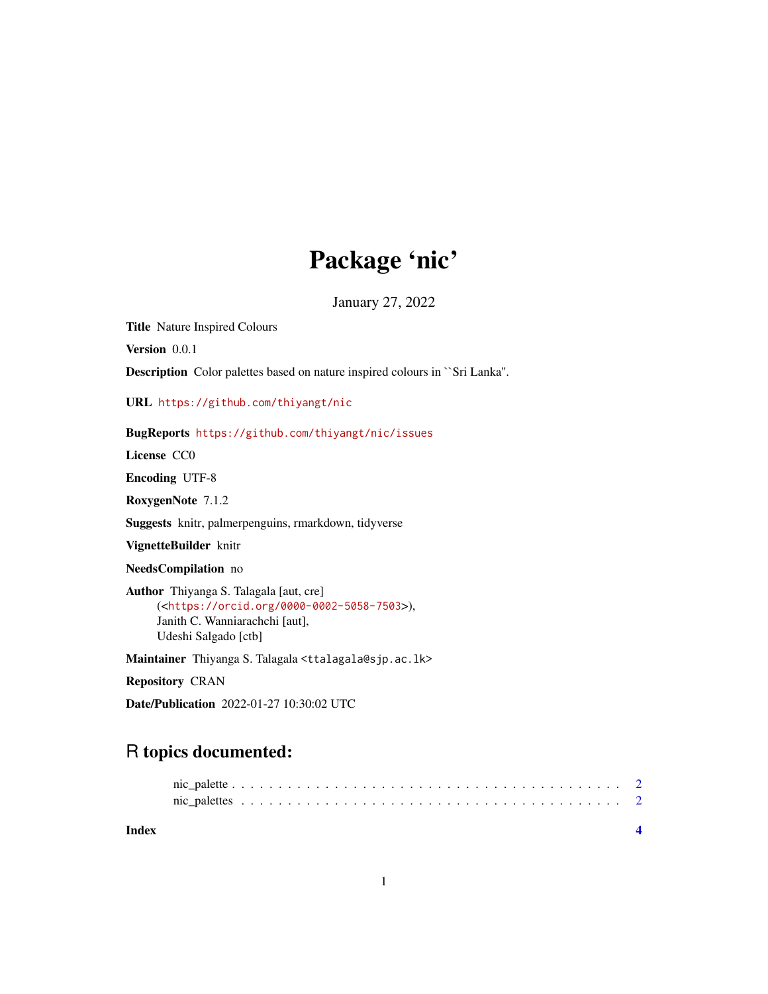## Package 'nic'

January 27, 2022

Title Nature Inspired Colours

Version 0.0.1

Description Color palettes based on nature inspired colours in ``Sri Lanka''.

URL <https://github.com/thiyangt/nic>

#### BugReports <https://github.com/thiyangt/nic/issues>

License CC0

Encoding UTF-8

RoxygenNote 7.1.2

Suggests knitr, palmerpenguins, rmarkdown, tidyverse

VignetteBuilder knitr

NeedsCompilation no

Author Thiyanga S. Talagala [aut, cre] (<<https://orcid.org/0000-0002-5058-7503>>), Janith C. Wanniarachchi [aut], Udeshi Salgado [ctb]

Maintainer Thiyanga S. Talagala <ttalagala@sjp.ac.lk>

Repository CRAN

Date/Publication 2022-01-27 10:30:02 UTC

### R topics documented:

| Index |  |  |  |  |  |  |  |  |  |  |  |  |  |  |  |  |  |  |
|-------|--|--|--|--|--|--|--|--|--|--|--|--|--|--|--|--|--|--|
|       |  |  |  |  |  |  |  |  |  |  |  |  |  |  |  |  |  |  |
|       |  |  |  |  |  |  |  |  |  |  |  |  |  |  |  |  |  |  |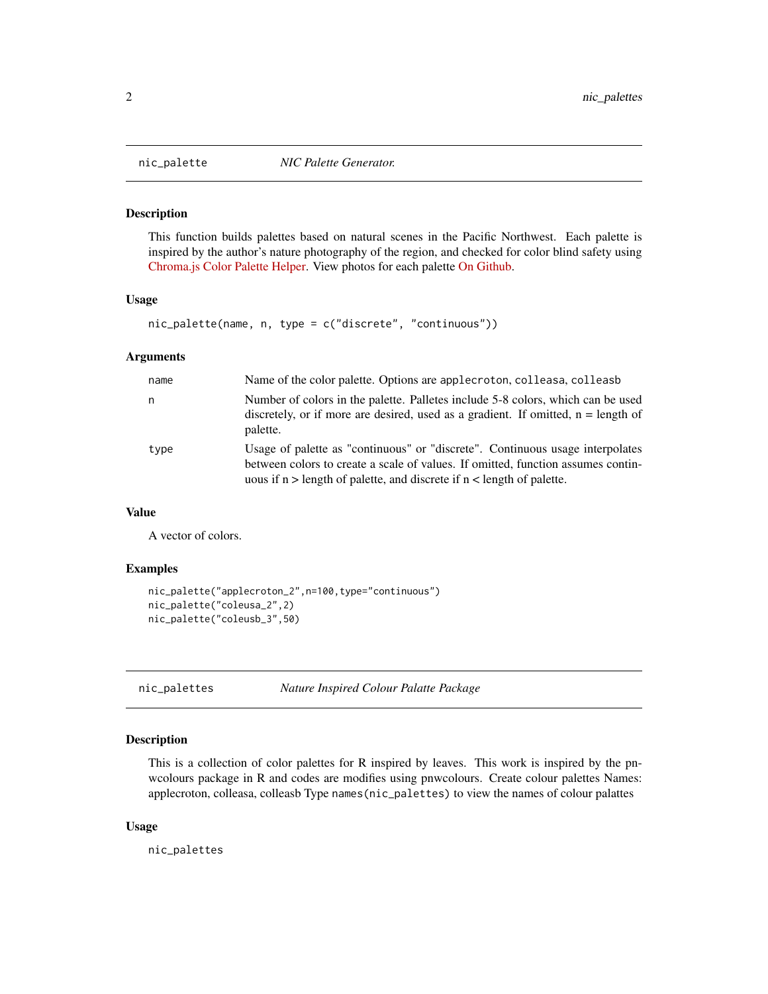<span id="page-1-0"></span>

#### Description

This function builds palettes based on natural scenes in the Pacific Northwest. Each palette is inspired by the author's nature photography of the region, and checked for color blind safety using [Chroma.js Color Palette Helper.](https://gka.github.io/palettes/#/9|s|00429d,96ffea,ffffe0|ffffe0,ff005e,93003a|1|1) View photos for each palette [On Github.](https://github.com/thiyangt/nic)

#### Usage

```
nic_palette(name, n, type = c("discrete", "continuous"))
```
#### Arguments

| name | Name of the color palette. Options are applecroton, colleasa, colleasb                                                                                                                                                                         |
|------|------------------------------------------------------------------------------------------------------------------------------------------------------------------------------------------------------------------------------------------------|
| n    | Number of colors in the palette. Palletes include 5-8 colors, which can be used<br>discretely, or if more are desired, used as a gradient. If omitted, $n =$ length of<br>palette.                                                             |
| type | Usage of palette as "continuous" or "discrete". Continuous usage interpolates<br>between colors to create a scale of values. If omitted, function assumes contin-<br>uous if $n >$ length of palette, and discrete if $n <$ length of palette. |

#### Value

A vector of colors.

#### Examples

```
nic_palette("applecroton_2",n=100,type="continuous")
nic_palette("coleusa_2",2)
nic_palette("coleusb_3",50)
```
nic\_palettes *Nature Inspired Colour Palatte Package*

#### Description

This is a collection of color palettes for R inspired by leaves. This work is inspired by the pnwcolours package in R and codes are modifies using pnwcolours. Create colour palettes Names: applecroton, colleasa, colleasb Type names(nic\_palettes) to view the names of colour palattes

#### Usage

nic\_palettes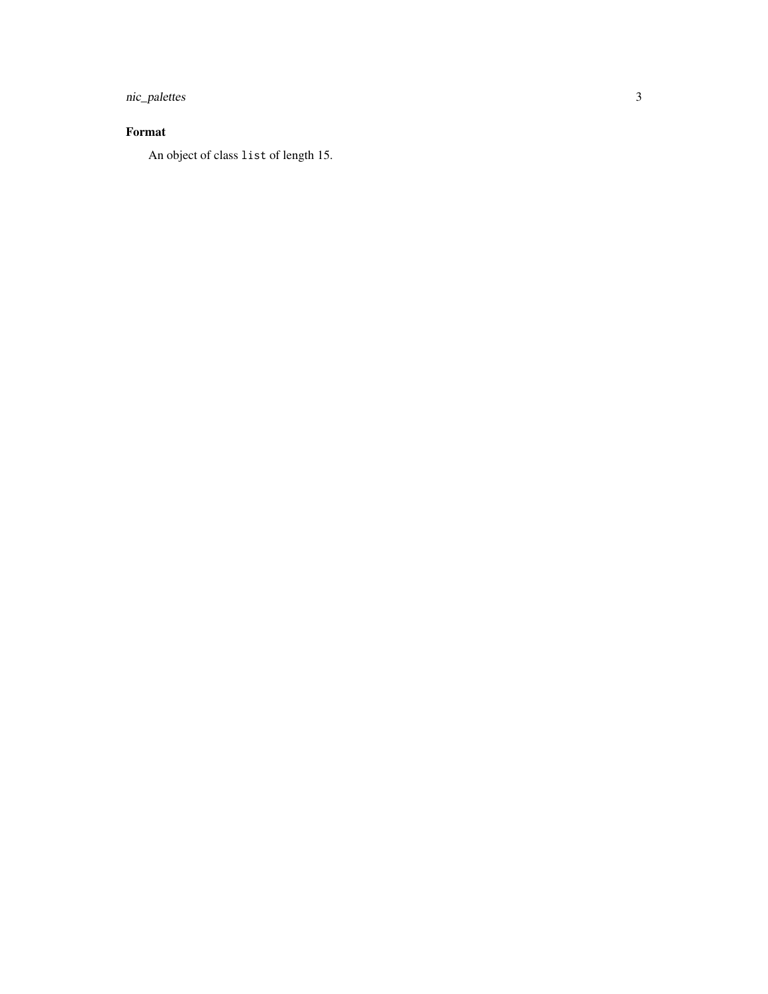nic\_palettes

#### Format

An object of class list of length 15.